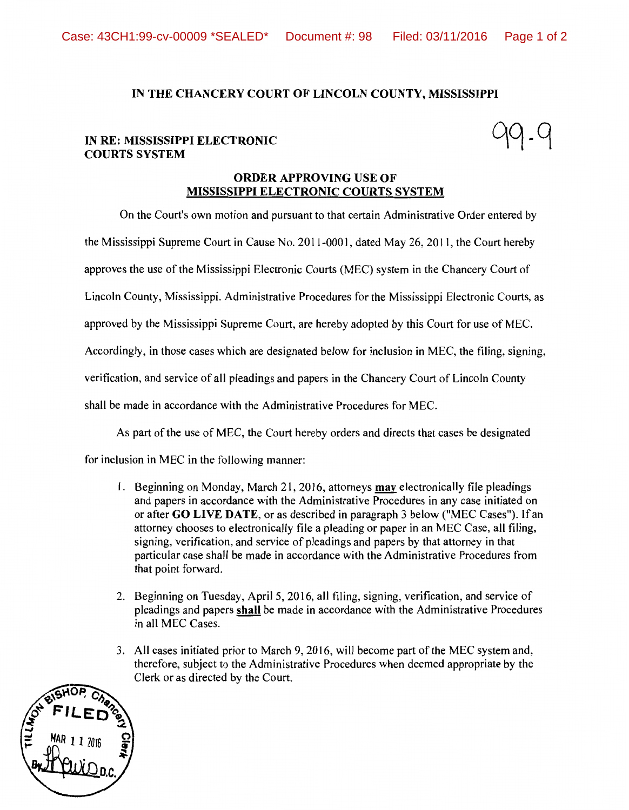## IN THE CHANCERY COURT OF LINCOLN COUNTY, MISSISSIPPI

## IN RE: MISSISSIPPI ELECTRONIC COURTS SYSTEM

## ORDER APPROVING USE OF MISSISSIPPI ELECTRONIC COURTS SYSTEM

On the Court's own motion and pursuant to that certain Administrative Order entered by

the Mississippi Supreme Court in Cause No. 2011-0001, dated May 26, 2011, the Court hereby

approves the use of the Mississippi Electronic Courts (MEC) system in the Chancery Court of

Lincoln County, Mississippi. Administrative Procedures for the Mississippi Electronic Courts, as

approved by the Mississippi Supreme Court, are hereby adopted by this Court for use of MEC.

Accordingly, in those cases which are designated below for inclusion in MEC, the filing, signing,

verification, and service of all pleadings and papers in the Chancery Court of Lincoln County

shall be made in accordance with the Administrative Procedures for MEC.

As part of the use of MEC, the Court hereby orders and directs that cases be designated

for inclusion in MEC in the following manner:

- 1. Beginning on Monday, March 21, 2016, attorneys **may** electronically file pleadings and papers in accordance with the Administrative Procedures in any case initiated on or after GO LIVE DATE, or as described in paragraph 3 below ("MEC Cases"). If an attorney chooses to electronically file a pleading or paper in an MEC Case, all filing, signing, verification, and service of pleadings and papers by that attorney in that particular case shall be made in accordance with the Administrative Procedures from that point forward.
- 2. Beginning on Tuesday, April 5, 2016, all filing, signing, verification, and service of pleadings and papers shall be made in accordance with the Administrative Procedures in all MEC Cases.
- 3. All cases initiated prior to March 9, 2016, will become part of the MEC system and, therefore, subject to the Administrative Procedures when deemed appropriate by the Clerk or as directed by the Court.